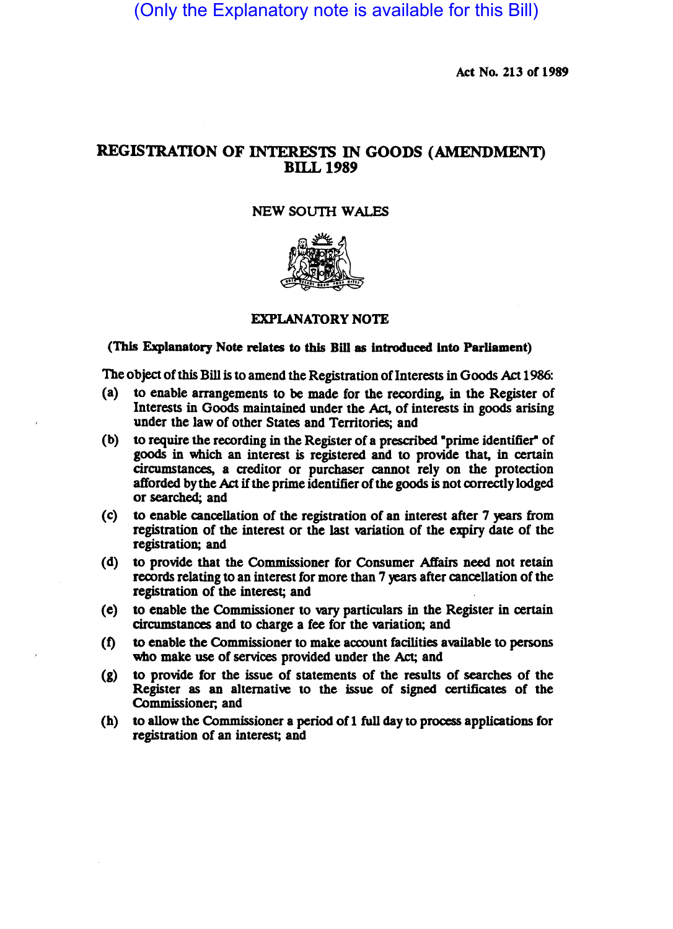(Only the Explanatory note is available for this Bill)

Act No. 213 of 1989

# REGISTRATION OF INTERESTS IN GOODS (AMENDMENT) BILL 1989

# NEW SOUTH WALES



# EXPLANATORY NOTE

### (This Explanatory Note relates to this Bill as introduced Into Parliament)

The object of this Bill is to amend the Registration of Interests in Goods Act 1986:

- (a) to enable arrangements to be made for the recording, in the Register of Interests in Goods maintained under the Act, of interests in goods arising under tbe law of other States and Territories; and
- (b) to require the recording in the Register of a prescribed "prime identifier" of goods in which an interest is registered and to provide that, in certain circumstances, a creditor or purchaser cannot rely on the protection afforded by the Act if the prime identifier of the goods is not correctly lodged or searcbed; and
- $(c)$  to enable cancellation of the registration of an interest after 7 years from registration of the interest or the last wriation of the expiry date of the registration; and
- (d) to provide that the Commissioner for Consumer Affairs need not retain records relating to an interest for more than 7 years after cancellation of the registration of the interest; and
- (e) to enable the Commissioner to vary paniculars in the Register in cenain circumstances and to charge a fee for the variation; and
- (f) to enable the Commissioner to make account facilities available to persons who make use of services provided under the Act; and
- (g) to provide for the issue of statements of the results of searcbes of the Register as an alternative to the issue of signed certificates of the Commissioner; and
- (b) to allow the Commissioner a period of 1 full day to process applications for registration of an interest; and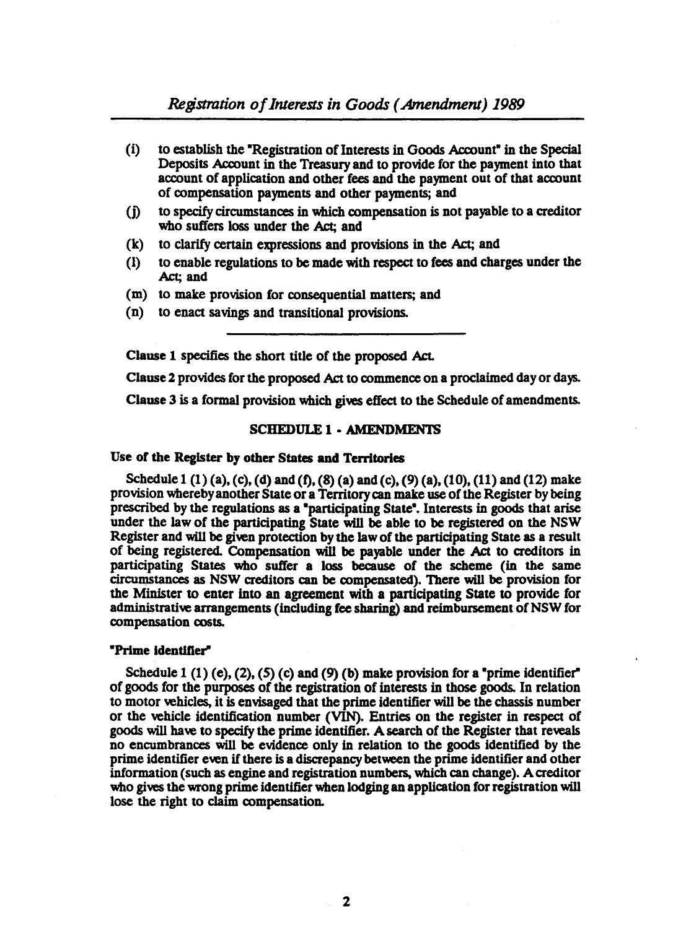- $(i)$  to establish the "Registration of Interests in Goods Account" in the Special Deposits Account in the Treasury and to provide for the payment into that account of application and other fees and the payment out of that account of compensation payments and other payments; and
- (j) to specify circumstances in which compensation is not payable to a creditor who suffers loss under the Act; and
- (k) to clarify certain expressions and provisions in the Act; and
- (1) to enable regulations to be made with respect to fees and charges under the Act; and
- (m) to make provision for consequential matters; and
- (n) to enact savings and transitional provisions.

Clause 1 specifies the short title of the proposed Act.

Clause 2 provides for the proposed Act to commence on a proclaimed day or days.

Clause 3 is a formal provision which gives effect to the Schedule of amendments.

#### SCHEDULE 1 - AMENDMENTS

#### Use of the Register by other States and Territories

Schedule 1 (1) (a), (c), (d) and (f), (8) (a) and (c), (9) (a), (10), (11) and (12) make provision whereby another State or a Territory can make use of the Register by being prescribed by the regulations as a "participating State". Interests in goods that arise under the law of the participating State will be able to be registered on the NSW Register and will be given protection by the law of the participating State as a result of being registered. Compensation will be payable under the Act to creditors in participating States who suffer a loss because of the scheme (in the same cirCUmstances as NSW creditors can be compensated). There will be provision for the Minister to enter into an agreement with a participating State to provide for administrative arrangements (including fee sharing) and reimbursement of NSW for compensation costs.

#### "Prime identifier"

Schedule 1 (1) (e), (2), (5) (c) and (9) (b) make provision for a "prime identifier" of goods for the purposes of the registration of interests in those goods. In relation to motor vehicles, it is envisaged that the prime identifier will be the chassis number or the vehicle identification number (VIN). Entries on the register in respect of goods will have to specify the prime identifier. A search of the Register that reveals no encumbrances will be evidence only in relation to the goods identified by the prime identifier even if there is a discrepancy between the prime identifier and other information (such as engine and registration numbers, which can change). A creditor who gives the wrong prime identifier when lodging an application for registration will lose the right to claim compensation.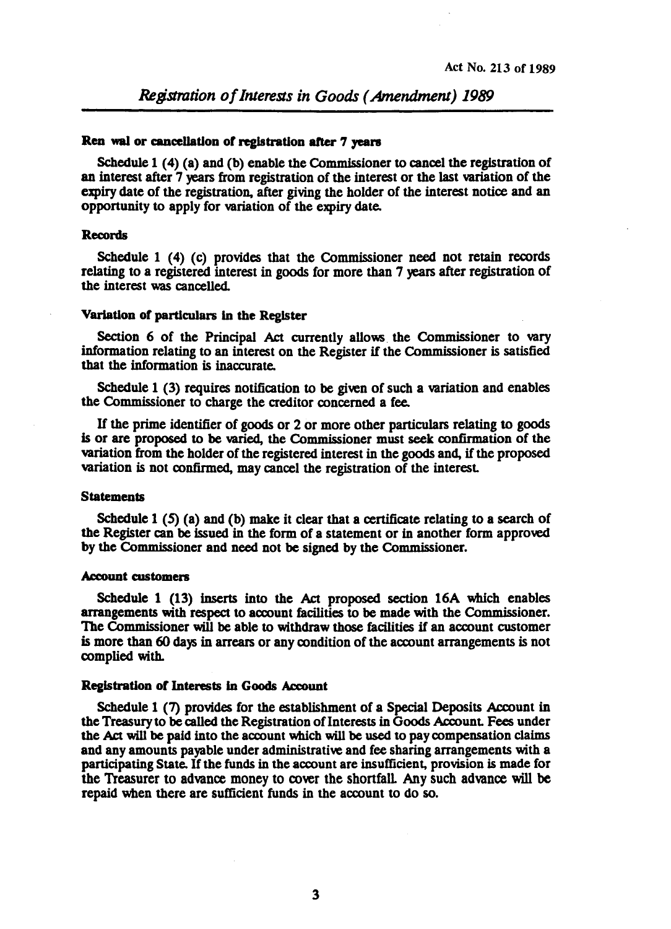### Ren wal or cancellation of registration after 7 years

Schedule 1 (4) (a) and (b) enable the Commissioner to cancel the registration of an interest after 7 years from registration of the interest or the last variation of the expiry date of the registration, after giving the holder of the interest notice and an opportunity to apply for variation of the expiry date.

### Records

Schedule 1 (4) (c) provides that the Commissioner need not retain records relating to a registered interest in goods for more than 7 years after registration of the interest was cancelled.

### Variation of particulars in the Register

Section 6 of the Principal Act currentiy allows. the Commissioner to vary information relating to an interest on the Register if the Commissioner is satisfied that the information is inaccurate.

Schedule 1 (3) requires notification to be given of such a variation and enables the Commissioner to charge the creditor concerned a fee.

If the prime identifier of goods or 2 or more other particulars relating to goods is or are proposed to be varied, the Commissioner must seek confirmation of the variation from the holder of the registered interest in the goods and, if the proposed variation is not confirmed, may cancel the registration of the interest

#### **Statements**

Schedule 1 (5) (a) and (b) make it clear that a certificate relating to a search of the Register can be issued in the form of a statement or in another form approved by the Commissioner and need not be signed by the Commissioner.

#### Account customers

Schedule 1 (13) inserts into the Act proposed section 16A which enables arrangements with respect to account facilities to be made with the Commissioner. The Commissioner will be able to withdraw those facilities if an account customer is more than 60 days in arrears or any rondition of the account arrangements is not complied with.

# Registration of Interests in Goods Account

Schedule 1 (7) provides for the establishment of a Special Deposits Account in the Treasury to be called the Registration of Interests in Goods Account. Fees under the Act will be paid into the acrount which will be used to pay compensation claims and any amounts payable under administrative and fee sharing arrangements with a participating State. If the funds in the account are insufficient, provision is made for the Treasurer to advance money to rover the shonfalL Any such advance will be repaid wben there are sufficient funds in the account to do so.